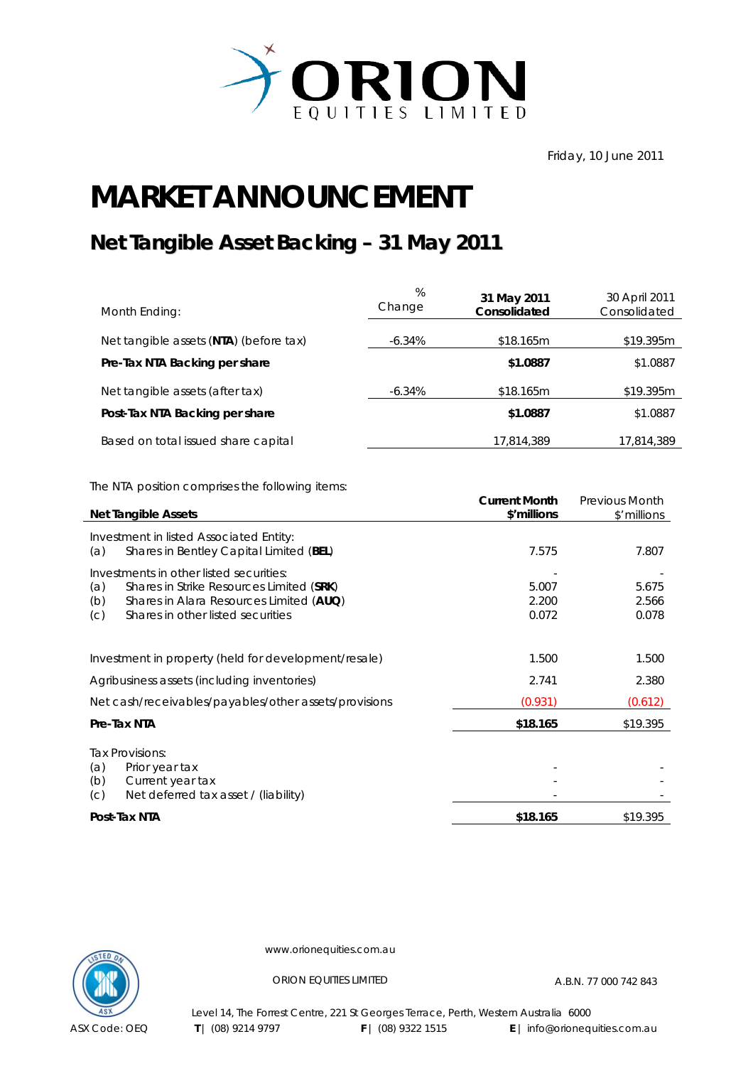

Friday, 10 June 2011

## **MARKET ANNOUNCEMENT**

## **Net Tangible Asset Backing – 31 May 2011**

| Month Ending:                          | $\%$<br>Change | 31 May 2011<br>Consolidated | 30 April 2011<br>Consolidated |
|----------------------------------------|----------------|-----------------------------|-------------------------------|
| Net tangible assets (NTA) (before tax) | -6.34%         | \$18.165m                   | \$19.395m                     |
| Pre-Tax NTA Backing per share          |                | \$1.0887                    | \$1.0887                      |
| Net tangible assets (after tax)        | -6.34%         | \$18.165m                   | \$19.395m                     |
| Post-Tax NTA Backing per share         |                | \$1.0887                    | \$1.0887                      |
| Based on total issued share capital    |                | 17,814,389                  | 17,814,389                    |

The NTA position comprises the following items:

| <b>Net Tangible Assets</b>                     |                                                       | <b>Current Month</b><br>\$'millions | <b>Previous Month</b><br>\$'millions |
|------------------------------------------------|-------------------------------------------------------|-------------------------------------|--------------------------------------|
| Investment in listed Associated Entity:<br>(a) | Shares in Bentley Capital Limited (BEL)               | 7.575                               | 7.807                                |
| Investments in other listed securities:        |                                                       |                                     |                                      |
| (a)                                            | Shares in Strike Resources Limited (SRK)              | 5.007                               | 5.675                                |
| (b)                                            | Shares in Alara Resources Limited (AUQ)               | 2.200                               | 2.566                                |
| Shares in other listed securities<br>(C)       |                                                       | 0.072                               | 0.078                                |
|                                                | Investment in property (held for development/resale)  | 1.500                               | 1.500                                |
| Agribusiness assets (including inventories)    |                                                       | 2.741                               | 2.380                                |
|                                                | Net cash/receivables/payables/other assets/provisions | (0.931)                             | (0.612)                              |
| Pre-Tax NTA                                    |                                                       | \$18.165                            | \$19.395                             |
| Tax Provisions:                                |                                                       |                                     |                                      |
| (a)<br>Prior year tax                          |                                                       |                                     |                                      |
| Current year tax<br>(b)                        |                                                       |                                     |                                      |
| (C)                                            | Net deferred tax asset / (liability)                  |                                     |                                      |
| Post-Tax NTA                                   |                                                       | \$18.165                            | \$19.395                             |



www.orionequities.com.au

ORION EQUITIES LIMITED A.B.N. 77 000 742 843

Level 14, The Forrest Centre, 221 St Georges Terrace, Perth, Western Australia 6000  **T** | (08) 9214 9797 **F** | (08) 9322 1515 **E** | info@orionequities.com.au